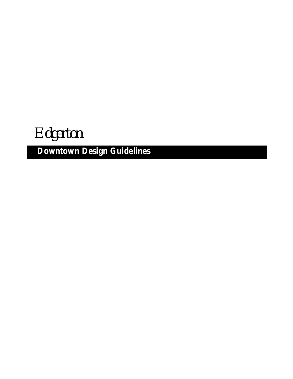*Edgerton*

**Downtown Design Guidelines**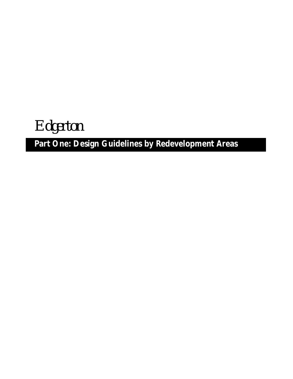*Edgerton*

## **Part One: Design Guidelines by Redevelopment Areas**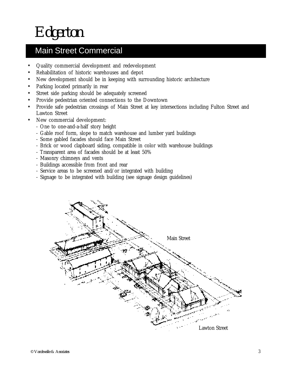*Edgerton*

### Main Street Commercial

- Quality commercial development and redevelopment
- Rehabilitation of historic warehouses and depot
- New development should be in keeping with surrounding historic architecture
- Parking located primarily in rear
- Street side parking should be adequately screened
- Provide pedestrian oriented connections to the Downtown
- Provide safe pedestrian crossings of Main Street at key intersections including Fulton Street and Lawton Street
- New commercial development:
	- One to one-and-a-half story height
	- Gable roof form, slope to match warehouse and lumber yard buildings
	- Some gabled facades should face Main Street
	- Brick or wood clapboard siding, compatible in color with warehouse buildings
	- Transparent area of facades should be at least 50%
	- Masonry chimneys and vents
	- Buildings accessible from front and rear
	- Service areas to be screened and/or integrated with building
	- Signage to be integrated with building (see signage design guidelines)

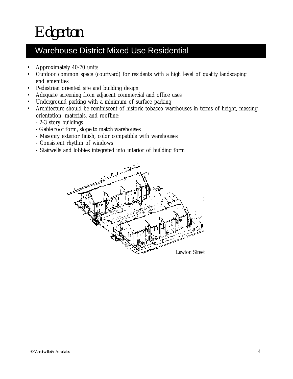### Warehouse District Mixed Use Residential

- Approximately 40-70 units
- Outdoor common space (courtyard) for residents with a high level of quality landscaping and amenities
- Pedestrian oriented site and building design
- Adequate screening from adjacent commercial and office uses
- Underground parking with a minimum of surface parking
- Architecture should be reminiscent of historic tobacco warehouses in terms of height, massing, orientation, materials, and roofline:
	- 2-3 story buildings
	- Gable roof form, slope to match warehouses
	- Masonry exterior finish, color compatible with warehouses
	- Consistent rhythm of windows
	- Stairwells and lobbies integrated into interior of building form

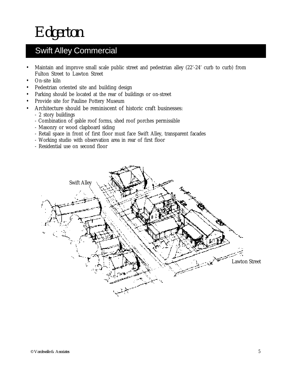*Edgerton*

## Swift Alley Commercial

- Maintain and improve small scale public street and pedestrian alley (22'-24' curb to curb) from Fulton Street to Lawton Street
- On-site kiln
- Pedestrian oriented site and building design
- Parking should be located at the rear of buildings or on-street
- Provide site for Pauline Pottery Museum
- Architecture should be reminiscent of historic craft businesses:
	- 2 story buildings
	- Combination of gable roof forms, shed roof porches permissible
	- Masonry or wood clapboard siding
	- Retail space in front of first floor must face Swift Alley, transparent facades
	- Working studio with observation area in rear of first floor
	- Residential use on second floor

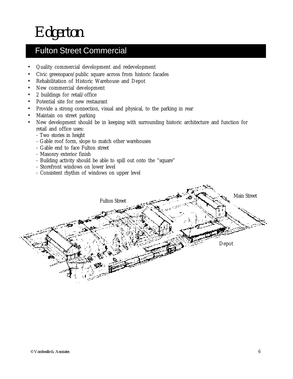### Fulton Street Commercial

- Quality commercial development and redevelopment
- Civic greenspace/public square across from historic facades
- Rehabilitation of Historic Warehouse and Depot
- New commercial development
- 2 buildings for retail/office
- Potential site for new restaurant
- Provide a strong connection, visual and physical, to the parking in rear
- Maintain on street parking
- New development should be in keeping with surrounding historic architecture and function for retail and office uses:
	- Two stories in height
	- Gable roof form, slope to match other warehouses
	- Gable end to face Fulton street
	- Masonry exterior finish
	- Building activity should be able to spill out onto the "square"
	- Storefront windows on lower level
	- Consistent rhythm of windows on upper level

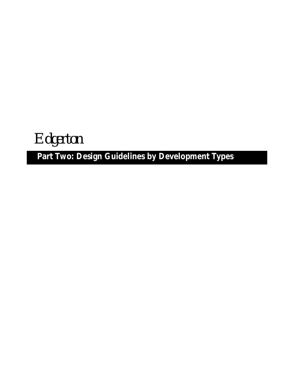*Edgerton*

## **Part Two: Design Guidelines by Development Types**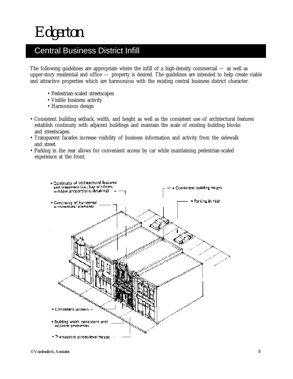### Central Business District Infill

The following guidelines are appropriate where the infill of a high-density commercial — as well as upper-story residential and office — property is desired. The guidelines are intended to help create viable and attractive properties which are harmonious with the existing central business district character.

- Pedestrian-scaled streetscapes
- Visible business activity
- Harmonious design
- Consistent building setback, width, and height as well as the consistent use of architectural features establish continuity with adjacent buildings and maintain the scale of existing building blocks and streetscapes.
- Transparent facades increase visibility of business information and activity from the sidewalk and street.
- Parking in the rear allows for convenient access by car while maintaining pedestrian-scaled experience at the front.

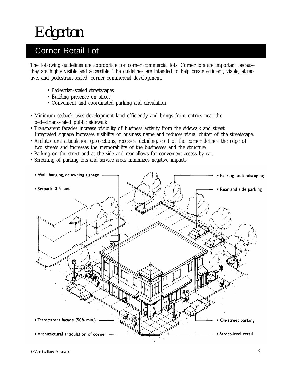### Corner Retail Lot

The following guidelines are appropriate for corner commercial lots. Corner lots are important because they are highly visible and accessible. The guidelines are intended to help create efficient, viable, attractive, and pedestrian-scaled, corner commercial development.

- Pedestrian-scaled streetscapes
- Building presence on street
- Convenient and coordinated parking and circulation
- Minimum setback uses development land efficiently and brings front entries near the pedestrian-scaled public sidewalk .
- Transparent facades increase visibility of business activity from the sidewalk and street. Integrated signage increases visibility of business name and reduces visual clutter of the streetscape.
- Architectural articulation (projections, recesses, detailing, etc.) of the corner defines the edge of two streets and increases the memorability of the businesses and the structure.
- Parking on the street and at the side and rear allows for convenient access by car.
- Screening of parking lots and service areas minimizes negative impacts.

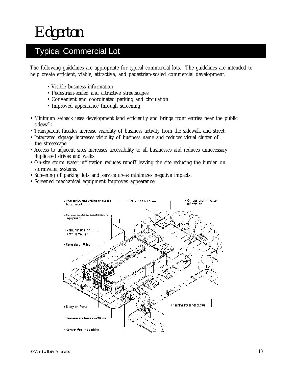## Typical Commercial Lot

The following guidelines are appropriate for typical commercial lots. The guidelines are intended to help create efficient, viable, attractive, and pedestrian-scaled commercial development.

- Visible business information
- Pedestrian-scaled and attractive streetscapes
- Convenient and coordinated parking and circulation
- Improved appearance through screening
- Minimum setback uses development land efficiently and brings front entries near the public sidewalk.
- Transparent facades increase visibility of business activity from the sidewalk and street.
- Integrated signage increases visibility of business name and reduces visual clutter of the streetscape.
- Access to adjacent sites increases accessibility to all businesses and reduces unnecessary duplicated drives and walks.
- On-site storm water infiltration reduces runoff leaving the site reducing the burden on stormwater systems.
- stormwater systems.<br>• Screening of parking lots and service areas minimizes negative impacts.
- minimum settement land efficiently and brings from the public side was appearance. • Screened mechanical equipment improves appearance.

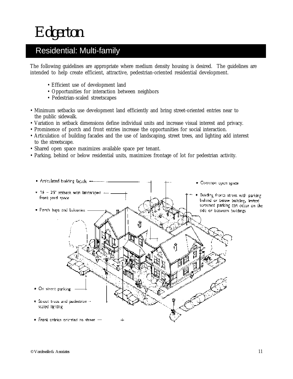### Residential: Multi-family

The following guidelines are appropriate where medium density housing is desired. The guidelines are intended to help create efficient, attractive, pedestrian-oriented residential development.

- Efficient use of development land
- Opportunities for interaction between neighbors
- Pedestrian-scaled streetscapes
- Minimum setbacks use development land efficiently and bring street-oriented entries near to the public sidewalk.
- Variation in setback dimensions define individual units and increase visual interest and privacy.
- Prominence of porch and front entries increase the opportunities for social interaction.
- Articulation of building facades and the use of landscaping, street trees, and lighting add interest to the streetscape.
- Shared open space maximizes available space per tenant.
- Parking, behind or below residential units, maximizes frontage of lot for pedestrian activity.

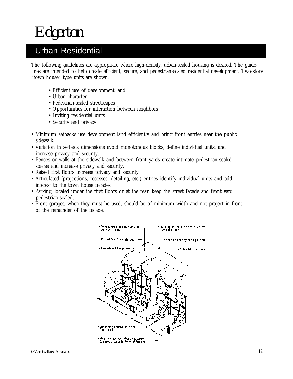### Urban Residential

The following guidelines are appropriate where high-density, urban-scaled housing is desired. The guidelines are intended to help create efficient, secure, and pedestrian-scaled residential development. Two-story "town house" type units are shown.

- Efficient use of development land
- Urban character
- Pedestrian-scaled streetscapes
- Opportunities for interaction between neighbors
- Inviting residential units
- Security and privacy
- Minimum setbacks use development land efficiently and bring front entries near the public sidewalk.
- Variation in setback dimensions avoid monotonous blocks, define individual units, and increase privacy and security.
- Fences or walls at the sidewalk and between front yards create intimate pedestrian-scaled spaces and increase privacy and security.
- Raised first floors increase privacy and security
- Articulated (projections, recesses, detailing, etc.) entries identify individual units and add interest to the town house facades.
- Parking, located under the first floors or at the rear, keep the street facade and front yard pedestrian-scaled.
- Front garages, when they must be used, should be of minimum width and not project in front of the remainder of the facade.

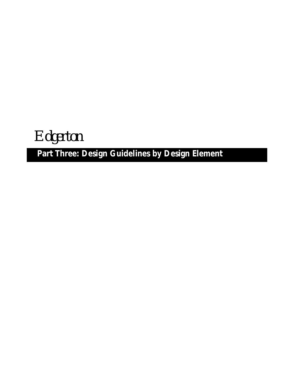*Edgerton*

## **Part Three: Design Guidelines by Design Element**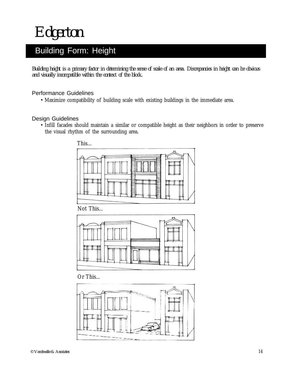*Edgerton*

### Building Form: Height

*Building height is a primary factor in determining the sense of scale of an area. Discrepancies in height can be obvious and visually incompatible within the context of the block.*

### Performance Guidelines

• Maximize compatibility of building scale with existing buildings in the immediate area.

#### Design Guidelines

• Infill facades should maintain a similar or compatible height as their neighbors in order to preserve the visual rhythm of the surrounding area.





Or This...

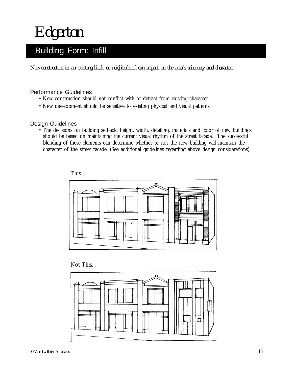*Edgerton*

### Building Form: Infill

*New construction in an existing block or neighborhood can impact on the area's coherency and character.*

#### Performance Guidelines

- New construction should not conflict with or detract from existing character.
- New construction should not conflict with or detract from existing character.<br>• New development should be sensitive to existing physical and visual patterns.

#### Design Guidelines

• The decisions on building setback, height, width, detailing, materials and color of new buildings should be based on maintaining the current visual rhythm of the street facade. The successful blending of these elements can determine whether or not the new building will maintain the character of the street facade. (See additional guidelines regarding above design considerations)





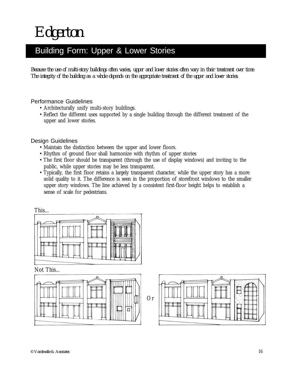*Edgerton*

### Building Form: Upper & Lower Stories

*Because the use of multi-story buildings often varies, upper and lower stories often vary in their treatment over time. The integrity of the building as a whole depends on the appropriate treatment of the upper and lower stories.*

- Performance Guidelines<br>• Architecturally unify multi-story buildings.
	- Reflect the different uses supported by a single building through the different treatment of the upper and lower stories.

Design Guidelines

- Maintain the distinction between the upper and lower floors.
- Rhythm of ground floor shall harmonize with rhythm of upper stories
- The first floor should be transparent (through the use of display windows) and inviting to the public, while upper stories may be less transparent.
- Typically, the first floor retains a largely transparent character, while the upper story has a more solid quality to it. The difference is seen in the proportion of storefront windows to the smaller upper story windows. The line achieved by a consistent first-floor height helps to establish a sense of scale for pedestrians.

This...



Not This...



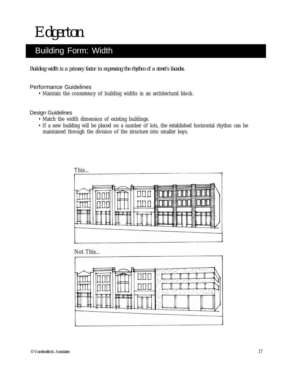*Edgerton*

## Building Form: Width

*Building width is a primary factor in expressing the rhythm of a street's facades.*

### Performance Guidelines

• Maintain the consistency of building widths in an architectural block.

#### Design Guidelines

- Match the width dimension of existing buildings.
- If a new building will be placed on a number of lots, the established horizontal rhythm can be maintained through the division of the structure into smaller bays.



Not This...

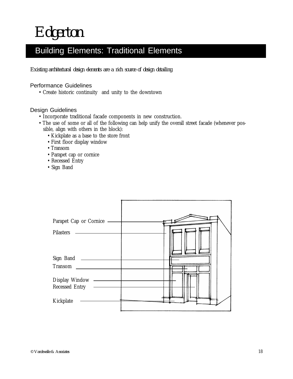### Building Elements: Traditional Elements

*Existing architectural design elements are a rich source of design detailing.*

### Performance Guidelines

• Create historic continuity and unity to the downtown

- Incorporate traditional facade components in new construction.
- The use of some or all of the following can help unify the overall street facade (whenever possible, align with others in the block):
	- Kickplate as a base to the store front
	- First floor display window
	- Transom
	- Parapet cap or cornice
	- Recessed Entry
	- Sign Band

| Parapet Cap or Cornice<br>Pilasters |  |
|-------------------------------------|--|
| Sign Band<br>Transom                |  |
| Display Window —<br>Recessed Entry  |  |
| Kickplate                           |  |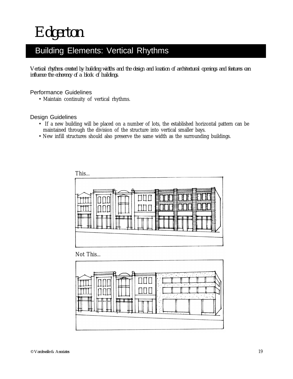### Building Elements: Vertical Rhythms

*Vertical rhythms created by building widths and the design and location of architectural openings and features can influence the coherency of a block of buildings.*

### Performance Guidelines

• Maintain continuity of vertical rhythms.

### Design Guidelines

- If a new building will be placed on a number of lots, the established horizontal pattern can be maintained through the division of the structure into vertical smaller bays.
- New infill structures should also preserve the same width as the surrounding buildings.



Not This...

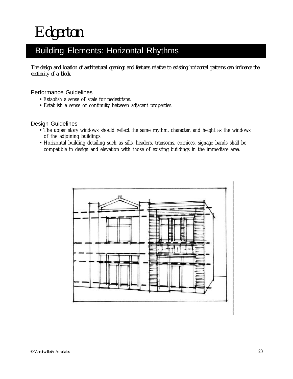### Building Elements: Horizontal Rhythms

*The design and location of architectural openings and features relative to existing horizontal patterns can influence the continuity of a block*

### Performance Guidelines

- Establish a sense of scale for pedestrians.
- Establish a sense of scale for pedestrians.<br>• Establish a sense of continuity between adjacent properties.

- The upper story windows should reflect the same rhythm, character, and height as the windows of the adjoining buildings.
- Horizontal building detailing such as sills, headers, transoms, cornices, signage bands shall be compatible in design and elevation with those of existing buildings in the immediate area.

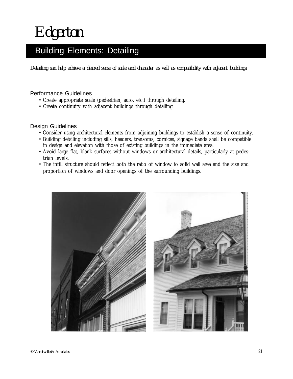### Building Elements: Detailing

*Detailing can help achieve a desired sense of scale and character as well as compatibility with adjacent buildings.*

### Performance Guidelines

- Create appropriate scale (pedestrian, auto, etc.) through detailing.
- Create continuity with adjacent buildings through detailing.

- Consider using architectural elements from adjoining buildings to establish a sense of continuity.
- Building detailing including sills, headers, transoms, cornices, signage bands shall be compatible in design and elevation with those of existing buildings in the immediate area.
- Avoid large flat, blank surfaces without windows or architectural details, particularly at pedestrian levels.
- The infill structure should reflect both the ratio of window to solid wall area and the size and proportion of windows and door openings of the surrounding buildings.

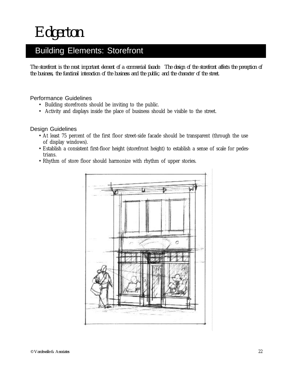### Building Elements: Storefront

*The storefront is the most important element of a commercial facade. The design of the storefront affects the perception of the business, the functinal interaction of the business and the public, and the character of the street.*

- Performance Guidelines<br>• Building storefronts should be inviting to the public.
	- Activity and displays inside the place of business should be visible to the street.

- At least 75 percent of the first floor street-side facade should be transparent (through the use of display windows).
- Establish a consistent first-floor height (storefront height) to establish a sense of scale for pedestrians.
- Rhythm of store floor should harmonize with rhythm of upper stories.

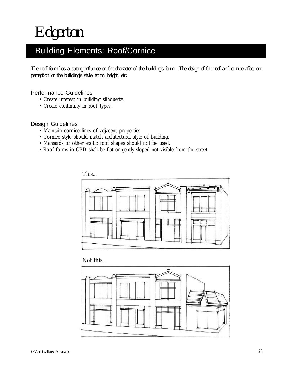## Building Elements: Roof/Cornice

*The roof form has a strong influence on the character of the building's form. The design of the roof and cornice affect our perception of the building's style, form, height, etc.*

### Performance Guidelines

- Create interest in building silhouette.
- Create interest in building silho<br>• Create continuity in roof types.

### Design Guidelines

- Maintain cornice lines of adjacent properties.
- Cornice style should match architectural style of building.
- Mansards or other exotic roof shapes should not be used.
- Roof forms in CBD shall be flat or gently sloped not visible from the street.



Not this...

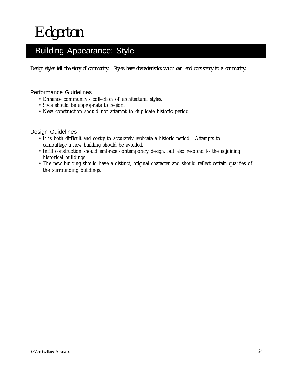### Building Appearance: Style

*Design styles tell the story of community. Styles have characteristics which can lend consistency to a community.*

### Performance Guidelines

- Enhance community's collection of architectural styles.
- Enhance community's collection of a<br>• Style should be appropriate to region.
	- New construction should not attempt to duplicate historic period.

- It is both difficult and costly to accurately replicate a historic period. Attempts to camouflage a new building should be avoided.
- Infill construction should embrace contemporary design, but also respond to the adjoining historical buildings.
- The new building should have a distinct, original character and should reflect certain qualities of the surrounding buildings.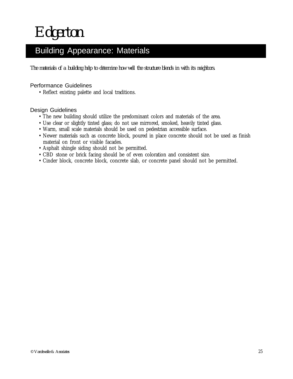## Building Appearance: Materials

*The materials of a building help to determine how well the structure blends in with its neighbors.*

### Performance Guidelines

• Reflect existing palette and local traditions.

- The new building should utilize the predominant colors and materials of the area.
- Use clear or slightly tinted glass; do not use mirrored, smoked, heavily tinted glass.
- Warm, small scale materials should be used on pedestrian accessible surface.
- Newer materials such as concrete block, poured in place concrete should not be used as finish material on front or visible facades.
- Asphalt shingle siding should not be permitted.
- CBD stone or brick facing should be of even coloration and consistent size.
- Cinder block, concrete block, concrete slab, or concrete panel should not be permitted.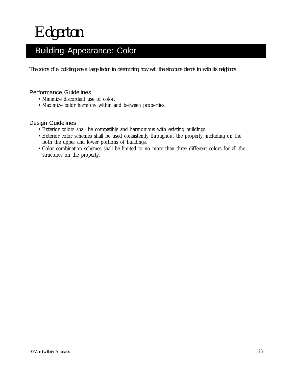### Building Appearance: Color

*The colors of a building are a large factor in determining how well the structure blends in with its neighbors.*

### Performance Guidelines

- Minimize discordant use of color.
- Minimize discordant use of color.<br>• Maximize color harmony within and between properties.

- Exterior colors shall be compatible and harmonious with existing buildings.
- Exterior color schemes shall be used consistently throughout the property, including on the both the upper and lower portions of buildings.
- Color combination schemes shall be limited to no more than three different colors for all the structures on the property.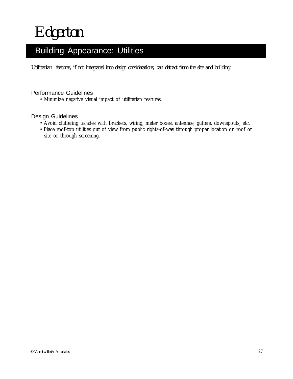## Building Appearance: Utilities

*Utilitarian features, if not integrated into design considerations, can detract from the site and building.*

### Performance Guidelines

• Minimize negative visual impact of utilitarian features.

- Avoid cluttering facades with brackets, wiring, meter boxes, antennae, gutters, downspouts, etc.
- Place roof-top utilities out of view from public rights-of-way through proper location on roof or site or through screening.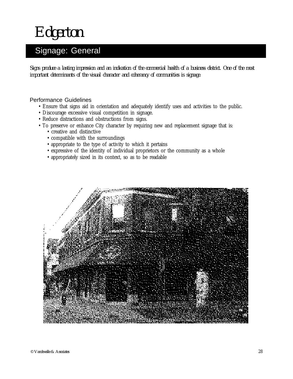*Edgerton*

## Signage: General

*Signs produce a lasting impression and an indication of the commercial health of a business district. One of the most important determinants of the visual character and coherancy of communities is signage.*

- Performance Guidelines<br>• Ensure that signs aid in orientation and adequately identify uses and activities to the public.
	- Discourage excessive visual competition in signage.
	- Reduce distractions and obstructions from signs.
	- To preserve or enhance City character by requiring new and replacement signage that is:
		- creative and distinctive
		- compatible with the surroundings
		- appropriate to the type of activity to which it pertains
		- expressive of the identity of individual proprietors or the community as a whole
		- appropriately sized in its context, so as to be readable

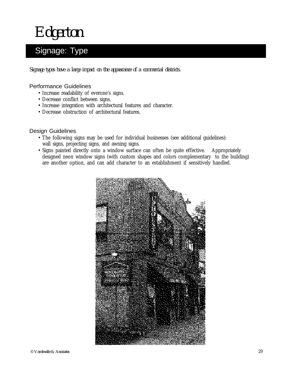*Edgerton*

## Signage: Type

*Signage types have a large impact on the appearance of a commercial districts.*

#### Performance Guidelines

- Increase readability of everone's signs.
- Decrease conflict between signs.
- Decrease conflict between signs.<br>• Increase integration with architectural features and character.
	- Decrease obstruction of architectural features.

- The following signs may be used for individual businesses (see additional guidelines): wall signs, projecting signs, and awning signs.
- Signs painted directly onto a window surface can often be quite effective. Appropriately designed neon window signs (with custom shapes and colors complementary to the building) are another option, and can add character to an establishment if sensitively handled.

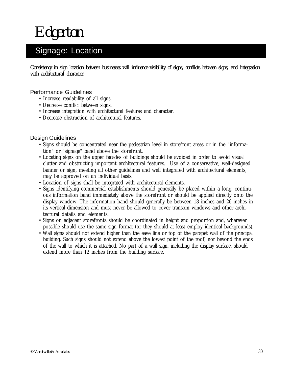### Signage: Location

*Consistency in sign location between businesses will influence visibility of signs, conflicts between signs, and integration with architectural character.*

### Performance Guidelines

- Increase readability of all signs.
- Increase readability of all signs.<br>• Decrease conflict between signs.
	- Increase integration with architectural features and character.
	- Decrease obstruction of architectural features.

- Signs should be concentrated near the pedestrian level in storefront areas or in the "information" or "signage" band above the storefront.
- Locating signs on the upper facades of buildings should be avoided in order to avoid visual clutter and obstructing important architectural features. Use of a conservative, well-designed banner or sign, meeting all other guidelines and well integrated with architectural elements, may be approved on an individual basis.
- Location of signs shall be integrated with architectural elements.
- Signs identifying commercial establishments should generally be placed within a long, continuous information band immediately above the storefront or should be applied directly onto the display window. The information band should generally be between 18 inches and 26 inches in its vertical dimension and must never be allowed to cover transom windows and other architectural details and elements.
- Signs on adjacent storefronts should be coordinated in height and proportion and, wherever possible should use the same sign format (or they should at least employ identical backgrounds).
- Wall signs should not extend higher than the eave line or top of the parapet wall of the principal building. Such signs should not extend above the lowest point of the roof, nor beyond the ends of the wall to which it is attached. No part of a wall sign, including the display surface, should extend more than 12 inches from the building surface.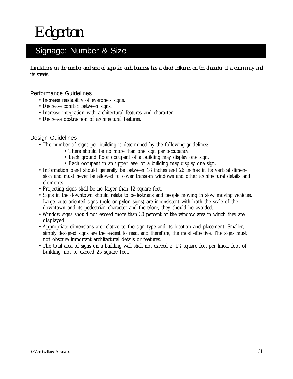### Signage: Number & Size

*Limitations on the number and size of signs for each business has a direct influence on the character of a community and its streets.*

### Performance Guidelines

- Increase readability of everone's signs.<br>• Decrease conflict between signs.
	- Decrease conflict between signs.
	- Increase integration with architectural features and character.
	- Decrease obstruction of architectural features.

- The number of signs per building is determined by the following guidelines:
	- There should be no more than one sign per occupancy.
	- Each ground floor occupant of a building may display one sign.
	- Each occupant in an upper level of a building may display one sign.
- Information band should generally be between 18 inches and 26 inches in its vertical dimension and must never be allowed to cover transom windows and other architectural details and elements.
- Projecting signs shall be no larger than 12 square feet.
- Signs in the downtown should relate to pedestrians and people moving in slow moving vehicles. Large, auto-oriented signs (pole or pylon signs) are inconsistent with both the scale of the downtown and its pedestrian character and therefore, they should be avoided.
- Window signs should not exceed more than 30 percent of the window area in which they are displayed.
- Appropriate dimensions are relative to the sign type and its location and placement. Smaller, simply designed signs are the easiest to read, and therefore, the most effective. The signs must not obscure important architectural details or features.
- The total area of signs on a building wall shall not exceed 2 1/2 square feet per linear foot of building, not to exceed 25 square feet.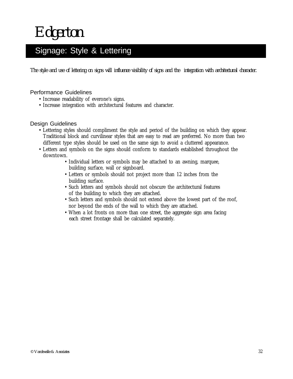### Signage: Style & Lettering

*The style and use of lettering on signs will influence visibility of signs and the integration with architectural character.*

### Performance Guidelines

- Increase readability of everone's signs.
- Increase integration with architectural features and character.

- Lettering styles should compliment the style and period of the building on which they appear. Traditional block and curvilinear styles that are easy to read are preferred. No more than two different type styles should be used on the same sign to avoid a cluttered appearance.
- Letters and symbols on the signs should conform to standards established throughout the downtown.
	- Individual letters or symbols may be attached to an awning, marquee, building surface, wall or signboard.
	- Letters or symbols should not project more than 12 inches from the building surface.
	- Such letters and symbols should not obscure the architectural features of the building to which they are attached.
	- Such letters and symbols should not extend above the lowest part of the roof, nor beyond the ends of the wall to which they are attached.
	- When a lot fronts on more than one street, the aggregate sign area facing each street frontage shall be calculated separately.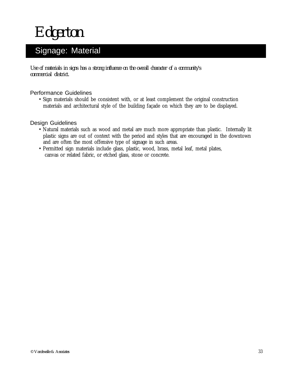## Signage: Material

*Use of materials in signs has a strong influence on the overall character of a community's commercial district.*

### Performance Guidelines

• Sign materials should be consistent with, or at least complement the original construction materials and architectural style of the building façade on which they are to be displayed.

- Natural materials such as wood and metal are much more appropriate than plastic. Internally lit plastic signs are out of context with the period and styles that are encouraged in the downtown and are often the most offensive type of signage in such areas.
- Permitted sign materials include glass, plastic, wood, brass, metal leaf, metal plates, canvas or related fabric, or etched glass, stone or concrete.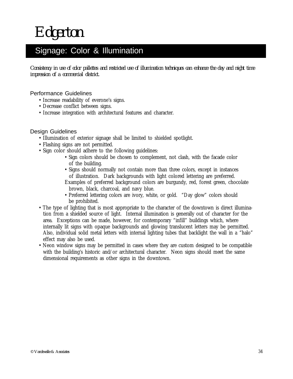### Signage: Color & Illumination

*Consistency in use of color pallettes and restricted use of illumination techniques can enhance the day and night time impression of a commercial district.*

#### Performance Guidelines

- Increase readability of everone's signs.<br>• Decrease conflict between signs.
	- Decrease conflict between signs.
	- Increase integration with architectural features and character.

- Illumination of exterior signage shall be limited to shielded spotlight.
- Flashing signs are not permitted.
- Sign color should adhere to the following guidelines:
	- Sign colors should be chosen to complement, not clash, with the facade color of the building.
	- Signs should normally not contain more than three colors, except in instances of illustration. Dark backgrounds with light colored lettering are preferred.
	- Examples of preferred background colors are burgundy, red, forest green, chocolate brown, black, charcoal, and navy blue.
	- Preferred lettering colors are ivory, white, or gold. "Day glow" colors should be prohibited.
- The type of lighting that is most appropriate to the character of the downtown is direct illumination from a shielded source of light. Internal illumination is generally out of character for the area. Exceptions can be made, however, for contemporary "infill" buildings which, where internally lit signs with opaque backgrounds and glowing translucent letters may be permitted. Also, individual solid metal letters with internal lighting tubes that backlight the wall in a "halo" effect may also be used.
- Neon window signs may be permitted in cases where they are custom designed to be compatible with the building's historic and/or architectural character. Neon signs should meet the same dimensional requirements as other signs in the downtown.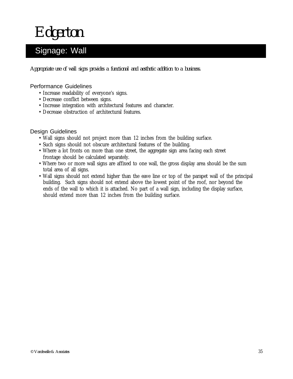*Edgerton*

## Signage: Wall

*Appropriate use of wall signs provides a functional and aesthetic addition to a business.*

#### Performance Guidelines

- Increase readability of everyone's signs.
- Decrease conflict between signs.
- Increase integration with architectural features and character.
- Decrease obstruction of architectural features.

- Wall signs should not project more than 12 inches from the building surface.
- Such signs should not obscure architectural features of the building.
- Where a lot fronts on more than one street, the aggregate sign area facing each street frontage should be calculated separately.
- Where two or more wall signs are affixed to one wall, the gross display area should be the sum total area of all signs.
- Wall signs should not extend higher than the eave line or top of the parapet wall of the principal building. Such signs should not extend above the lowest point of the roof, nor beyond the ends of the wall to which it is attached. No part of a wall sign, including the display surface, should extend more than 12 inches from the building surface.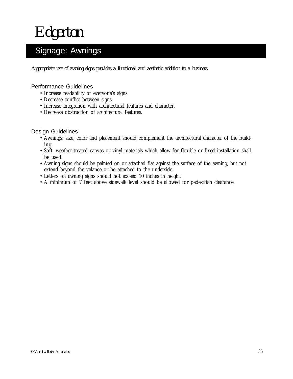## Signage: Awnings

*Appropriate use of awning signs provides a functional and aesthetic addition to a business.*

#### Performance Guidelines

- Increase readability of everyone's signs.
- Decrease conflict between signs.
- Increase integration with architectural features and character.
- Decrease obstruction of architectural features.

- Awnings: size, color and placement should complement the architectural character of the building.
- Soft, weather-treated canvas or vinyl materials which allow for flexible or fixed installation shall be used.
- Awning signs should be painted on or attached flat against the surface of the awning, but not extend beyond the valance or be attached to the underside.
- Letters on awning signs should not exceed 10 inches in height.
- A minimum of 7 feet above sidewalk level should be allowed for pedestrian clearance.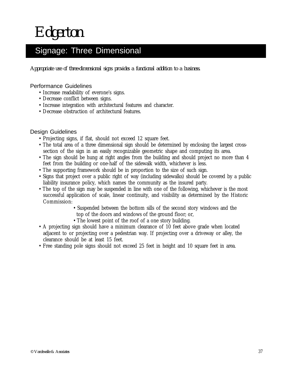### Signage: Three Dimensional

*Appropriate use of three-dimensional signs provides a functional addition to a business.*

### Performance Guidelines

- Increase readability of everone's signs.
- Decrease conflict between signs.
- Decrease conflict between signs.<br>• Increase integration with architectural features and character.
	- Decrease obstruction of architectural features.

- Projecting signs, if flat, should not exceed 12 square feet.
- The total area of a three dimensional sign should be determined by enclosing the largest crosssection of the sign in an easily recognizable geometric shape and computing its area.
- The sign should be hung at right angles from the building and should project no more than 4 feet from the building or one-half of the sidewalk width, whichever is less.
- The supporting framework should be in proportion to the size of such sign.
- Signs that project over a public right of way (including sidewalks) should be covered by a public liability insurance policy, which names the community as the insured party.
- The top of the sign may be suspended in line with one of the following, whichever is the most successful application of scale, linear continuity, and visibility as determined by the Historic Commission:
	- Suspended between the bottom sills of the second story windows and the
	- top of the doors and windows of the ground floor; or, • The lowest point of the roof of a one story building.
- A projecting sign should have a minimum clearance of 10 feet above grade when located adjacent to or projecting over a pedestrian way. If projecting over a driveway or alley, the clearance should be at least 15 feet.
- Free standing pole signs should not exceed 25 feet in height and 10 square feet in area.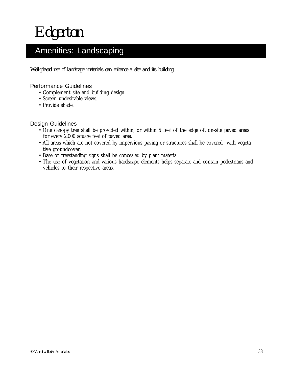### Amenities: Landscaping

*Well-placed use of landscape materials can enhance a site and its building.*

### Performance Guidelines

- Complement site and building design.
- Screen undesirable views.<br>• Provide shade.
	- Provide shade.

- One canopy tree shall be provided within, or within 5 feet of the edge of, on-site paved areas for every 2,000 square feet of paved area.
- All areas which are not covered by impervious paving or structures shall be covered with vegetative groundcover.
- Base of freestanding signs shall be concealed by plant material.
- The use of vegetation and various hardscape elements helps separate and contain pedestrians and vehicles to their respective areas.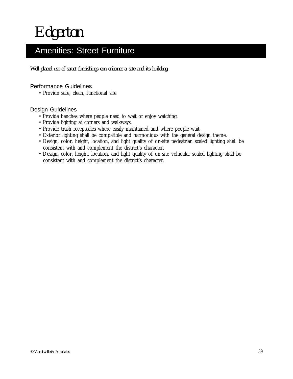### Amenities: Street Furniture

*Well-placed use of street furnishings can enhance a site and its building.*

Performance Guidelines<br>• Provide safe, clean, functional site.

- Provide benches where people need to wait or enjoy watching.
- Provide lighting at corners and walkways.
- Provide trash receptacles where easily maintained and where people wait.
- Exterior lighting shall be compatible and harmonious with the general design theme.
- Design, color, height, location, and light quality of on-site pedestrian scaled lighting shall be consistent with and complement the district's character.
- Design, color, height, location, and light quality of on-site vehicular scaled lighting shall be consistent with and complement the district's character.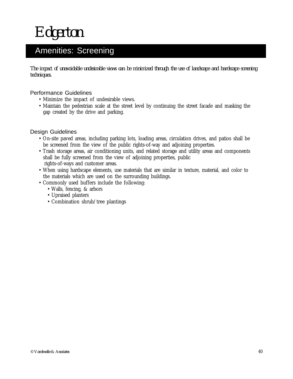## Amenities: Screening

*The impact of unavoidable undesirable views can be minimized through the use of landscape and hardscape screening techniques.*

### Performance Guidelines

- Minimize the impact of undesirable views.
- Maintain the pedestrian scale at the street level by continuing the street facade and masking the gap created by the drive and parking.

- On-site paved areas, including parking lots, loading areas, circulation drives, and patios shall be be screened from the view of the public rights-of-way and adjoining properties.
- Trash storage areas, air conditioning units, and related storage and utility areas and components shall be fully screened from the view of adjoining properties, public rights-of-ways and customer areas.
- When using hardscape elements, use materials that are similar in texture, material, and color to the materials which are used on the surrounding buildings.
- Commonly used buffers include the following:
	- Walls, fencing, & arbors
	- Upraised planters
	- Combination shrub/tree plantings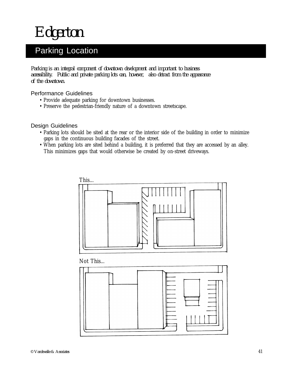*Edgerton*

### Parking Location

*Parking is an integral component of downtown development and important to business accessibility. Public and private parking lots can, however, also detract from the appearance of the downtown.*

#### Performance Guidelines

- Provide adequate parking for downtown businesses.
- Provide adequate parking for downtown businesses.<br>• Preserve the pedestrian-friendly nature of a downtown streetscape.

- Parking lots should be sited at the rear or the interior side of the building in order to minimize gaps in the continuous building facades of the street.
- When parking lots are sited behind a building, it is preferred that they are accessed by an alley. This minimizes gaps that would otherwise be created by on-street driveways.



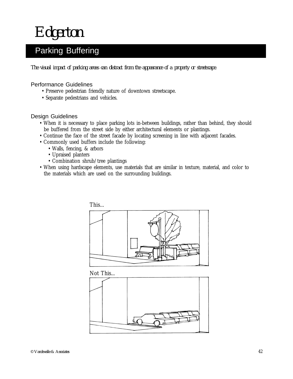*Edgerton*

### Parking Buffering

*The visual impact of parking areas can distract from the appearance of a property or streetscape.*

#### Performance Guidelines

- Preserve pedestrian friendly nature of downtown streetscape.
- Separate pedestrians and vehicles.

#### Design Guidelines

- When it is necessary to place parking lots in-between buildings, rather than behind, they should be buffered from the street side by either architectural elements or plantings.
- Continue the face of the street facade by locating screening in line with adjacent facades.
- Commonly used buffers include the following:
	- Walls, fencing, & arbors
	- Upraised planters
	- Combination shrub/tree plantings
- When using hardscape elements, use materials that are similar in texture, material, and color to the materials which are used on the surrounding buildings.



Not This...

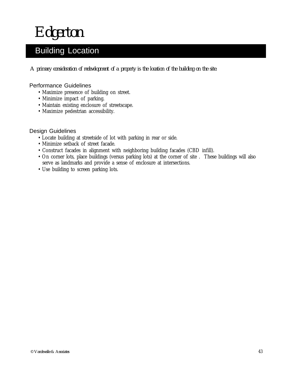## Building Location

*A primary consideration of redevelopment of a property is the location of the building on the site.*

### Performance Guidelines

- Maximize presence of building on street.
- Minimize impact of parking.
- Minimize impact of parking.<br>• Maintain existing enclosure of streetscape.
	- Maximize pedestrian accessibility.

- Locate building at streetside of lot with parking in rear or side.
- Minimize setback of street facade.
- Construct facades in alignment with neighboring building facades (CBD infill).
- On corner lots, place buildings (versus parking lots) at the corner of site . These buildings will also serve as landmarks and provide a sense of enclosure at intersections.
- Use building to screen parking lots.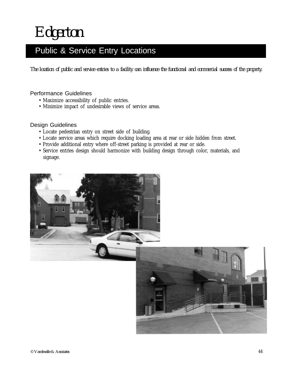## Public & Service Entry Locations

*The location of public and service entries to a facility can influence the functional and commercial success of the property.*

### Performance Guidelines

- Maximize accessibility of public entries.
- Maximize accessibility of public entries.<br>• Minimize impact of undesirable views of service areas.

- Locate pedestrian entry on street side of building.
- Locate service areas which require docking loading area at rear or side hidden from street.
- Provide additional entry where off-street parking is provided at rear or side.
- Service entries design should harmonize with building design through color, materials, and signage.